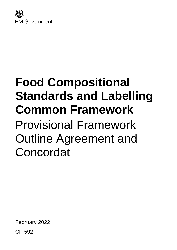

# **Food Compositional Standards and Labelling Common Framework** Provisional Framework Outline Agreement and **Concordat**

February 2022

CP 592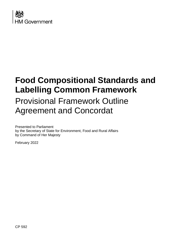

# **Food Compositional Standards and Labelling Common Framework**

# Provisional Framework Outline Agreement and Concordat

Presented to Parliament by the Secretary of State for Environment, Food and Rural Affairs by Command of Her Majesty

February 2022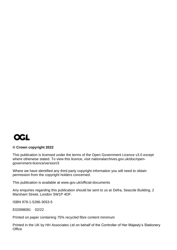

#### **© Crown copyright 2022**

This publication is licensed under the terms of the Open Government Licence v3.0 except where otherwise stated. To view this licence, visit [nationalarchives.gov.uk/doc/open](http://nationalarchives.gov.uk/doc/open-government-licence/version/3/)[government-licence/version/3](http://nationalarchives.gov.uk/doc/open-government-licence/version/3/)

Where we have identified any third party copyright information you will need to obtain permission from the copyright holders concerned.

This publication is available at [www.gov.uk/official-documents](http://www.gov.uk/official-documents)

Any enquiries regarding this publication should be sent to us at Defra, Seacole Building, 2 Marsham Street, London SW1P 4DF.

ISBN 978-1-5286-3053-5

E02698081 02/22

Printed on paper containing 75% recycled fibre content minimum

Printed in the UK by HH Associates Ltd on behalf of the Controller of Her Majesty's Stationery **Office**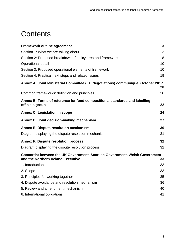# **Contents**

| <b>Framework outline agreement</b>                                                                               | 3  |
|------------------------------------------------------------------------------------------------------------------|----|
| Section 1: What we are talking about                                                                             | 3  |
| Section 2: Proposed breakdown of policy area and framework                                                       | 8  |
| Operational detail                                                                                               | 10 |
| Section 3: Proposed operational elements of framework                                                            | 10 |
| Section 4: Practical next steps and related issues                                                               | 19 |
| Annex A: Joint Ministerial Committee (EU Negotiations) communique, October 2017                                  | 20 |
| Common frameworks: definition and principles                                                                     | 20 |
| Annex B: Terms of reference for food compositional standards and labelling<br>officials group                    | 22 |
| <b>Annex C: Legislation in scope</b>                                                                             | 24 |
| Annex D: Joint decision-making mechanism                                                                         | 27 |
| <b>Annex E: Dispute resolution mechanism</b>                                                                     | 30 |
| Diagram displaying the dispute resolution mechanism                                                              | 31 |
| <b>Annex F: Dispute resolution process</b>                                                                       | 32 |
| Diagram displaying the dispute resolution process                                                                | 32 |
| Concordat between the UK Government, Scottish Government, Welsh Government<br>and the Northern Ireland Executive | 33 |
| 1. Introduction                                                                                                  | 33 |
| 2. Scope                                                                                                         | 33 |
| 3. Principles for working together                                                                               | 35 |
| 4. Dispute avoidance and resolution mechanism                                                                    | 36 |
| 5. Review and amendment mechanism                                                                                | 40 |
| 6. International obligations                                                                                     | 41 |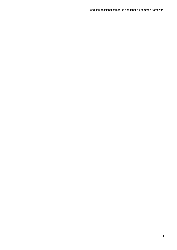Food compositional standards and labelling common framework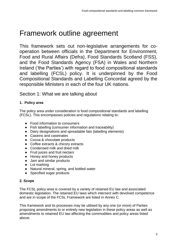# <span id="page-5-0"></span>Framework outline agreement

This framework sets out non-legislative arrangements for cooperation between officials in the Department for Environment, Food and Rural Affairs (Defra), Food Standards Scotland (FSS), and the Food Standards Agency (FSA) in Wales and Northern Ireland ('the Parties') with regard to food compositional standards and labelling (FCSL) policy. It is underpinned by the Food Compositional Standards and Labelling Concordat agreed by the responsible Ministers in each of the four UK nations.

<span id="page-5-1"></span>Section 1: What we are talking about

### **1. Policy area**

The policy area under consideration is food compositional standards and labelling (FCSL). This encompasses policies and regulations relating to:

- Food information to consumers
- Fish labelling (consumer information and traceability)
- Dairy designations and spreadable fats (labelling elements)
- Caseins and caseinates
- Cocoa & chocolate products
- Coffee extracts & chicory extracts
- Condensed milk and dried milk
- Fruit juices and fruit nectars
- Honey and honey products
- Jam and similar products
- Lot marking
- Natural mineral, spring, and bottled water
- Specified sugar products

#### **2. Scope**

The FCSL policy area is covered by a variety of retained EU law and associated domestic legislation. The retained EU laws which intersect with devolved competence and are in scope of the FCSL Framework are listed in Annex C.

This framework and its processes may be utilised by any one (or more) of Parties proposing amendments to or entirely new legislation in these policy areas as well as amendments to retained EU law affecting the commodities and policy areas listed above.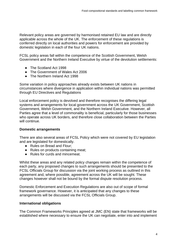Relevant policy areas are governed by harmonised retained EU law and are directly applicable across the whole of the UK. The enforcement of these regulations is conferred directly on local authorities and powers for enforcement are provided by domestic legislation in each of the four UK nations.

FCSL policy areas fall within the competence of the Scottish Government, Welsh Government and the Northern Ireland Executive by virtue of the devolution settlements:

- The Scotland Act 1998
- The Government of Wales Act 2006
- The Northern Ireland Act 1998

Some variation in policy approaches already exists between UK nations in circumstances where divergence in application within individual nations was permitted through EU Directives and Regulations

Local enforcement policy is devolved and therefore recognises the differing legal systems and arrangements for local government across the UK Government, Scottish Government, Welsh Government, and the Northern Ireland Executive. However, all Parties agree that a level of commonality is beneficial, particularly for those businesses who operate across UK borders, and therefore close collaboration between the Parties will continue.

#### **Domestic arrangements**

There are also several areas of FCSL Policy which were not covered by EU legislation and are legislated for domestically.

- Rules on Bread and Flour;
- Rules on products containing meat;
- Rules for curds and mincemeat.

Whilst these areas and any related policy changes remain within the competence of each party, any proposed changes to such arrangements should be presented to the FCSL Officials Group for discussion via the joint working process as outlined in this agreement and, where possible, agreement across the UK will be sought. These changes however shall not be bound by the formal dispute resolution process.

Domestic Enforcement and Execution Regulations are also out of scope of formal framework governance. However, it is anticipated that any changes to these arrangements will be discussed via the FCSL Officials Group.

#### **International obligations**

The Common Frameworks Principles agreed at JMC (EN) state that frameworks will be established where necessary to ensure the UK can negotiate, enter into and implement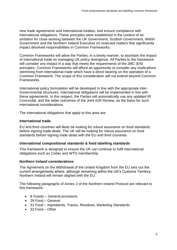new trade agreements and international treaties, and ensure compliance with international obligations. These principles were established in the context of an ambition for close working between the UK Government, Scottish Government, Welsh Government and the Northern Ireland Executive on reserved matters that significantly impact devolved responsibilities in Common Frameworks.

Common Frameworks will allow the Parties, in a timely manner, to ascertain the impact of international trade on managing UK policy divergence. All Parties to the framework will consider any impact in a way that meets the requirements of the JMC (EN) principles. Common Frameworks will afford an opportunity to consider any implications stemming from international trade which have a direct bearing on the operation of a Common Framework. The scope of this consideration will not extend beyond Common Frameworks.

International policy formulation will be developed in line with the appropriate inter-Governmental structures. International obligations will be implemented in line with these agreements. In this respect, the Parties will automatically use any updated IR Concordat, and the wider outcomes of the Joint IGR Review, as the basis for such international considerations.

The international obligations that apply to this area are:

#### **International trade**

EU and third countries will likely be looking for robust assurance on food standards before signing trade deals. The UK will be looking for robust assurance on food standards before signing trade deals with the EU and third countries.

#### **International compositional standards & food labelling standards**

This framework is designed to ensure the UK can continue to fulfil international obligations such as Codex and WTO membership.

#### **Northern Ireland considerations**

The Agreement on the Withdrawal of the United Kingdom from the EU sets out the current arrangements where, although remaining within the UK's Customs Territory, Northern Ireland will remain aligned with the EU.

The following paragraphs of Annex 2 of the Northern Ireland Protocol are relevant to this framework.

- 8 Goods General provisions
- 29 Food General
- 31 Food Ingredients, Traces, Residues, Marketing Standards
- 33 Food Other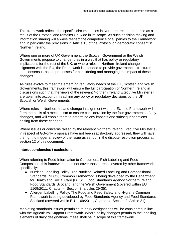This framework reflects the specific circumstances in Northern Ireland that arise as a result of the Protocol and remains UK wide in its scope. As such decision making and information sharing will always respect the competence of all parties to the Framework and in particular the provisions in Article 18 of the Protocol on democratic consent in Northern Ireland.

Where one or more of UK Government, the Scottish Government or the Welsh Governments propose to change rules in a way that has policy or regulatory implications for the rest of the UK, or where rules in Northern Ireland change in alignment with the EU, the Framework is intended to provide governance structures and consensus-based processes for considering and managing the impact of these changes.

As rules evolve to meet the emerging regulatory needs of the UK, Scottish and Welsh Governments, this framework will ensure the full participation of Northern Ireland in discussions such that the views of the relevant Northern Ireland Executive Minister(s) are taken into account in reaching any policy or regulatory decisions by the UK, Scottish or Welsh Governments.

Where rules in Northern Ireland change in alignment with the EU, the Framework will form the basis of a mechanism to ensure consideration by the four governments of any changes, and will enable them to determine any impacts and subsequent actions arising from these changes.

Where issues or concerns raised by the relevant Northern Ireland Executive Minister(s) in respect of GB-only proposals have not been satisfactorily addressed, they will have the right to trigger a review of the issue as set out in the dispute resolution process at section 12 of this document.

#### **Interdependencies / exclusions**

When referring to Food Information to Consumers, Fish Labelling and Food Composition, this framework does not cover those areas covered by other frameworks, specifically:

- Nutrition Labelling Policy. The Nutrition Related Labelling and Compositional Standards (NLCS) Common Framework is being developed by the Department for Health and Social Care (DHSC) Food Standards Agency Northern Ireland, Food Standards Scotland, and the Welsh Government (covered within EU 1169/2011, Chapter 4, Section 3, articles 29-35).
- Allergen Labelling Policy. The Food and Feed Safety and Hygiene Common Framework is being developed by Food Standards Agency and Food Standards Scotland (covered within EU 1169/2011, Chapter 4, Section 2, Article 21)

Marketing standards issues pertaining to dairy designations will be considered in line with the Agricultural Support Framework. Where policy changes pertain to the labelling elements of dairy designations, these shall be in scope of this framework.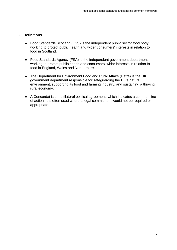#### **3. Definitions**

- Food Standards Scotland (FSS) is the independent public sector food body working to protect public health and wider consumers' interests in relation to food in Scotland.
- Food Standards Agency (FSA) is the independent government department working to protect public health and consumers' wider interests in relation to food in England, Wales and Northern Ireland.
- The Department for Environment Food and Rural Affairs (Defra) is the UK government department responsible for safeguarding the UK's natural environment, supporting its food and farming industry, and sustaining a thriving rural economy.
- A Concordat is a multilateral political agreement, which indicates a common line of action. It is often used where a legal commitment would not be required or appropriate.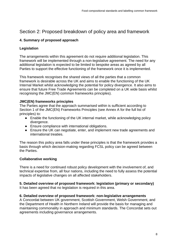# <span id="page-10-0"></span>Section 2: Proposed breakdown of policy area and framework

#### **4. Summary of proposed approach**

#### **Legislation**

The arrangements within this agreement do not require additional legislation. This framework will be implemented through a non-legislative agreement. The need for any additional legislation is expected to be limited to bespoke areas as agreed by all Parties to support the effective functioning of the framework once it is implemented.

This framework recognises the shared views of all the parties that a common framework is desirable across the UK and aims to enable the functioning of the UK Internal Market whilst acknowledging the potential for policy divergence. It also aims to ensure that future Free Trade Agreements can be completed on a UK wide basis whilst recognising the JMC(EN) common frameworks principles).

#### **JMC(EN) frameworks principles**

The Parties agree that the approach summarised within is sufficient according to Section 1 of the JMC(EN) Frameworks Principles (see Annex A for the full list of principles) to:

- Enable the functioning of the UK internal market, while acknowledging policy divergence.
- Ensure compliance with international obligations.
- Ensure the UK can negotiate, enter, and implement new trade agreements and international treaties.

The reason this policy area falls under these principles is that the framework provides a basis through which decision-making regarding FCSL policy can be agreed between the Parties.

#### **Collaborative working**

There is a need for continued robust policy development with the involvement of, and technical expertise from, all four nations, including the need to fully assess the potential impacts of legislative changes on all affected stakeholders.

#### **5. Detailed overview of proposed framework: legislation (primary or secondary)** It has been agreed that no legislation is required in this area.

#### **6. Detailed overview of proposed framework: non-legislative arrangements**

A Concordat between UK government, Scottish Government, Welsh Government, and the Department of Health in Northern Ireland will provide the basis for managing and maintaining commonality in approach and minimum standards. The Concordat sets out agreements including governance arrangements.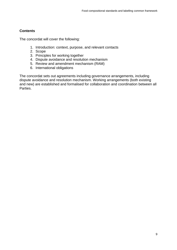#### **Contents**

The concordat will cover the following:

- 1. Introduction: context, purpose, and relevant contacts
- 2. Scope
- 3. Principles for working together
- 4. Dispute avoidance and resolution mechanism
- 5. Review and amendment mechanism (RAM)
- 6. International obligations

The concordat sets out agreements including governance arrangements, including dispute avoidance and resolution mechanism. Working arrangements (both existing and new) are established and formalised for collaboration and coordination between all Parties.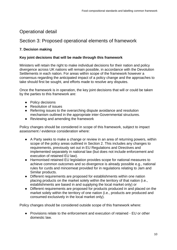# <span id="page-12-0"></span>Operational detail

## <span id="page-12-1"></span>Section 3: Proposed operational elements of framework

#### **7. Decision making**

#### **Key joint decisions that will be made through this framework**

Ministers will retain the right to make individual decisions for their nation and policy divergence across UK nations will remain possible, in accordance with the Devolution Settlements in each nation. For areas within scope of the framework however a consensus regarding the anticipated impact of a policy change and the approaches to take should first be sought, and efforts made to resolve any disputes.

Once the framework is in operation, the key joint decisions that will or could be taken by the parties to this framework are:

- Policy decisions
- Resolution of issues
- Referring issues to the overarching dispute avoidance and resolution mechanism outlined in the appropriate inter-Governmental structures.
- Reviewing and amending the framework

Policy changes should be considered in scope of this framework, subject to impact assessment / evidence consideration where:

- A Party seeks to make a change or review in an area of returning powers, within scope of the policy areas outlined in Section 2. This includes any changes to requirements, previously set out in EU Regulations and Directives and implemented separately in national law (but does not include enforcement and execution of retained EU law).
- Harmonised retained EU legislation provides scope for national measures to achieve common outcomes and so divergence is already possible e.g., national rules for curds and mincemeat provided for in regulations relating to Jam and Similar products.
- Different requirements are proposed for establishments within one nation placing products on the market solely within the territory of that nation (i.e., establishments are based in and supplying the local market only) or
- Different requirements are proposed for products produced in and placed on the market solely within the territory of one nation (i.e., products are produced and consumed exclusively in the local market only).

Policy changes should be considered outside scope of this framework where:

● Provisions relate to the enforcement and execution of retained - EU or other domestic law.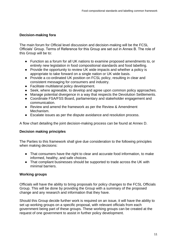#### **Decision-making fora**

The main forum for Official level discussion and decision-making will be the FCSL Officials' Group. Terms of Reference for this Group are set out in Annex B. The role of this Group will be to:

- Function as a forum for all UK nations to examine proposed amendments to, or entirely new legislation in food compositional standards and food labelling.
- Provide the opportunity to review UK wide impacts and whether a policy is appropriate to take forward on a single nation or UK wide basis.
- Provide a co-ordinated UK position on FCSL policy, resulting in clear and consistent messaging for consumers and industry.
- Facilitate multilateral policy development.
- Seek, where agreeable, to develop and agree upon common policy approaches.
- Manage potential divergence in a way that respects the Devolution Settlements.
- Coordinate FSA/FSS Board, parliamentary and stakeholder engagement and communication.
- Review and amend the framework as per the Review & Amendment Mechanism.
- Escalate issues as per the dispute avoidance and resolution process.

A flow chart detailing the joint decision-making process can be found at Annex D.

#### **Decision making principles**

The Parties to this framework shall give due consideration to the following principles when making decisions:

- That consumers have the right to clear and accurate food information, to make informed, healthy, and safe choices.
- That compliant businesses should be supported to trade across the UK with minimal barriers.

#### **Working groups**

Officials will have the ability to bring proposals for policy changes to the FCSL Officials Group. This will be done by providing the Group with a summary of the proposed change and any research and information that they have.

Should this Group decide further work is required on an issue, it will have the ability to set up working groups on a specific proposal, with relevant officials from each government being part of these groups. These working groups can be created at the request of one government to assist in further policy development.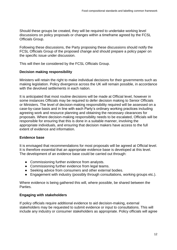Should these groups be created, they will be required to undertake working level discussions on policy proposals or changes within a timeframe agreed by the FCSL Officials Group.

Following these discussions, the Party proposing these discussions should notify the FCSL Officials Group of the proposed change and should prepare a policy paper on the specific issue under discussion.

This will then be considered by the FCSL Officials Group.

#### **Decision making responsibility**

Ministers will retain the right to make individual decisions for their governments such as making legislation. Policy divergence across the UK will remain possible, in accordance with the devolved settlements in each nation.

It is anticipated that most routine decisions will be made at Official level, however in some instances Officials may be required to defer decision making to Senior Officials or Ministers. The level of decision-making responsibility required will be assessed on a case-by-case basis and in line with each Party's ordinary working practices including agreeing work and resource planning and obtaining the necessary clearances for proposals. Where decision-making responsibility needs to be escalated, Officials will be responsible for ensuring that this is done in a suitable manner, involving the appropriate individuals, and ensuring that decision makers have access to the full extent of evidence and information.

#### **Evidence base**

It is envisaged that recommendations for most proposals will be agreed at Official level. It is therefore essential that an appropriate evidence base is developed at this level. The development of an evidence base could be carried out through:

- Commissioning further evidence from analysts.
- Commissioning further evidence from legal teams.
- Seeking advice from consumers and other external bodies.
- Engagement with industry (possibly through consultations, working groups etc.).

Where evidence is being gathered this will, where possible, be shared between the Parties.

#### **Engaging with stakeholders**

If policy officials require additional evidence to aid decision-making, external stakeholders may be requested to submit evidence or input to consultations. This will include any industry or consumer stakeholders as appropriate. Policy officials will agree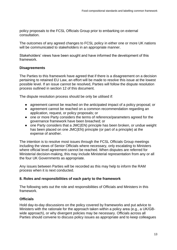policy proposals to the FCSL Officials Group prior to embarking on external consultation.

The outcomes of any agreed changes to FCSL policy in either one or more UK nations will be communicated to stakeholders in an appropriate manner.

Stakeholders' views have been sought and have informed the development of this framework.

#### **Disagreements**

The Parties to this framework have agreed that if there is a disagreement on a decision pertaining to retained EU Law, an effort will be made to resolve this issue at the lowest possible level. If an issue cannot be resolved, Parties will follow the dispute resolution process outlined in section 12 of this document.

The dispute resolution process should be only be utilised if:

- agreement cannot be reached on the anticipated impact of a policy proposal; or
- agreement cannot be reached on a common recommendation regarding an application, request, or policy proposals; or
- one or more Party considers the terms of reference/parameters agreed for the governance framework have been breached; or
- one Party considers that a JMC(EN) principle has been broken, or undue weight has been placed on one JMC(EN) principle (or part of a principle) at the expense of another.

The intention is to resolve most issues through the FCSL Officials Group meetings including the views of Senior Officials where necessary, only escalating to Ministers where official level agreement cannot be reached. When disputes are referred for Ministerial decision-making, this may include Ministerial representation from any or all the four UK Governments as appropriate.

Any issues between Parties will be recorded as this may help to inform the RAM process when it is next conducted.

#### **8. Roles and responsibilities of each party to the framework**

The following sets out the role and responsibilities of Officials and Ministers in this framework.

#### **Officials**

Hold day-to-day discussions on the policy covered by frameworks and put advice to Ministers with the rationale for the approach taken within a policy area (e.g., a UK/GBwide approach), or why divergent policies may be necessary. Officials across all Parties should convene to discuss policy issues as appropriate and to keep colleagues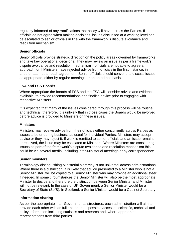regularly informed of any ramifications that policy will have across the Parties. If officials do not agree when making decisions, issues discussed at a working level can be escalated to senior officials in line with the framework's dispute avoidance and resolution mechanism.

#### **Senior officials**

Senior officials provide strategic direction on the policy areas governed by frameworks and take key operational decisions. They may review an issue as per a framework's dispute avoidance and resolution mechanism if officials are not able to agree an approach, or if Ministers have rejected advice from officials in the first instance, in another attempt to reach agreement. Senior officials should convene to discuss issues as appropriate, either by regular meetings or on an ad hoc basis.

#### **FSA and FSS Boards**

Where appropriate the boards of FSS and the FSA will consider advice and evidence available, to provide recommendations and finalise advice prior to engaging with respective Ministers.

It is expected that many of the issues considered through this process will be routine and technical; therefore, it is unlikely that in those cases the Boards would be involved before advice is provided to Ministers on these issues.

#### **Ministers**

Ministers may receive advice from their officials either concurrently across Parties as issues arise or during business as usual for individual Parties. Ministers may accept advice or they may reject it. If work is remitted to senior officials and an issue remains unresolved, the issue may be escalated to Ministers. Where Ministers are considering issues as part of the framework's dispute avoidance and resolution mechanism this could be via several media, including inter-Ministerial meetings or by correspondence.

#### **Senior ministers**

Terminology distinguishing Ministerial hierarchy is not universal across administrations. Where there is a distinction, it is likely that advice presented to a Minister who is not a Senior Minister, will be copied to a Senior Minister who may provide an additional steer if needed. In some circumstances the Senior Minister will also be the most appropriate Minister to decide and therefore the distinction between Senior Minister and Minister will not be relevant. In the case of UK Government, a Senior Minister would be a Secretary of State (SofS). In Scotland, a Senior Minister would be a Cabinet Secretary.

#### **Information sharing**

As per the appropriate inter-Governmental structures, each administration will aim to provide each other with as full and open as possible access to scientific, technical and policy information including statistics and research and, where appropriate, representations from third parties.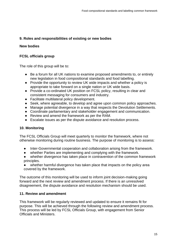#### **9. Roles and responsibilities of existing or new bodies**

#### **New bodies**

#### **FCSL officials group**

The role of this group will be to:

- Be a forum for all UK nations to examine proposed amendments to, or entirely new legislation in food compositional standards and food labelling.
- Provide the opportunity to review UK wide impacts and whether a policy is appropriate to take forward on a single nation or UK wide basis.
- Provide a co-ordinated UK position on FCSL policy, resulting in clear and consistent messaging for consumers and industry.
- Facilitate multilateral policy development.
- Seek, where agreeable, to develop and agree upon common policy approaches.
- Manage potential divergence in a way that respects the Devolution Settlements.
- Coordinate parliamentary and stakeholder engagement and communication.
- Review and amend the framework as per the RAM.
- Escalate issues as per the dispute avoidance and resolution process.

#### **10. Monitoring**

The FCSL Officials Group will meet quarterly to monitor the framework, where not otherwise monitoring during routine business. The purpose of monitoring is to assess:

- Inter-Governmental cooperation and collaboration arising from the framework.
- whether Parties are implementing and complying with the framework.
- whether divergence has taken place in contravention of the common framework principles.
- whether harmful divergence has taken place that impacts on the policy area covered by the framework.

The outcome of this monitoring will be used to inform joint decision-making going forward and the next review and amendment process. If there is an unresolved disagreement, the dispute avoidance and resolution mechanism should be used.

#### **11. Review and amendment**

This framework will be regularly reviewed and updated to ensure it remains fit for purpose. This will be achieved through the following review and amendment process. This process will be led by FCSL Officials Group, with engagement from Senior Officials and Ministers.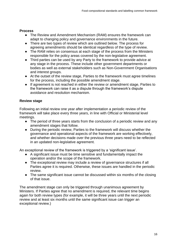#### **Process**

- The Review and Amendment Mechanism (RAM) ensures the framework can adapt to changing policy and governance environments in the future.
- There are two types of review which are outlined below. The process for agreeing amendments should be identical regardless of the type of review.
- The RAM relies on consensus at each stage of the process from the Ministers responsible for the policy areas covered by the non-legislative agreement.
- Third parties can be used by any Party to the framework to provide advice at any stage in the process. These include other government departments or bodies as well as external stakeholders such as Non-Government Organisations and interest groups.
- At the outset of the review stage, Parties to the framework must agree timelines for the process, including the possible amendment stage.
- If agreement is not reached in either the review or amendment stage, Parties to the framework can raise it as a dispute through the framework's dispute avoidance and resolution mechanism.

#### **Review stage**

Following an initial review one year after implementation a periodic review of the framework will take place every three years, in line with Official or Ministerial level meetings.

- The period of three years starts from the conclusion of a periodic review and any amendment stages that follow.
- During the periodic review, Parties to the framework will discuss whether the governance and operational aspects of the framework are working effectively, and whether decisions made over the previous three years need to be reflected in an updated non-legislative agreement.

An exceptional review of the framework is triggered by a 'significant issue'.

- A significant issue must be time sensitive and fundamentally impact the operation and/or the scope of the framework.
- The exceptional review may include a review of governance structures if all Parties agree it is required. Otherwise, these issues are handled in the periodic review.
- The same significant issue cannot be discussed within six months of the closing of that issue.

The amendment stage can only be triggered through unanimous agreement by Ministers. If Parties agree that no amendment is required, the relevant time begins again for both review types (for example, it will be three years until the next periodic review and at least six months until the same significant issue can trigger an exceptional review.)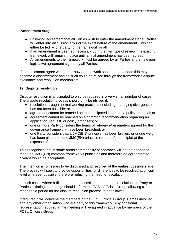#### **Amendment stage**

- Following agreement that all Parties wish to enter the amendment stage, Parties will enter into discussion around the exact nature of the amendment. This can either be led by one party to the framework or all.
- If an amendment is deemed necessary during either type of review, the existing framework will remain in place until a final amendment has been agreed.
- All amendments to the framework must be agreed by all Parties and a new nonlegislative agreement signed by all Parties.

If parties cannot agree whether or how a framework should be amended this may become a disagreement and as such could be raised through the framework's dispute avoidance and resolution mechanism.

#### **12. Dispute resolution**

Dispute resolution is anticipated to only be required in a very small number of cases. The dispute resolution process should only be utilised if:

- resolution through normal working practices (including managing divergence) has not been possible; or
- agreement cannot be reached on the anticipated impact of a policy proposal; or
- agreement cannot be reached on a common recommendation regarding an application, request, or policy proposals; or
- one or more Party considers the terms of reference/parameters agreed for the governance framework have been breached; or
- one Party considers that a JMC(EN) principle has been broken, or undue weight has been placed on one JMC(EN) principle (or part of a principle) at the expense of another.

This recognises that in some areas commonality of approach will not be needed to meet the JMC (EN) common frameworks principles and therefore an agreement to diverge would be acceptable.

The intention is for issues to be discussed and resolved at the earliest possible stage. The process will seek to provide opportunities for differences to be resolved at official level wherever possible, therefore reducing the need for escalation.

In such cases where a dispute requires escalation and formal resolution the Party or Parties initiating the change should inform the FCSL Officials Group, allowing a reasonable period for the dispute resolution process to be followed.

If required it will convene the members of the FCSL Officials Group, Parties involved and any other organisation who are party to this framework. Any additional representation required at the meeting will be agreed in advance by members of the FCSL Officials Group.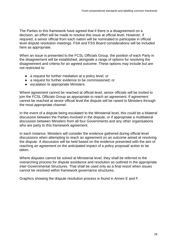The Parties to this framework have agreed that if there is a disagreement on a decision, an effort will be made to resolve this issue at official level. However, if required, a senior official from each nation will be nominated to participate in official level dispute resolution meetings. FSA and FSS Board considerations will be included here as appropriate.

When an issue is presented to the FCSL Officials Group, the position of each Party in the disagreement will be established, alongside a range of options for resolving the disagreement and criteria for an agreed outcome: These options may include but are not restricted to:

- a request for further mediation at a policy level; or
- a request for further evidence to be commissioned; or
- escalation to appropriate Ministers.

Where agreement cannot be reached at official level, senior officials will be invited to join the FCSL Officials Group as appropriate to reach an agreement. If agreement cannot be reached at senior official level the dispute will be raised to Ministers through the most appropriate channel.

In the event of a dispute being escalated to the Ministerial level, this could be a bilateral discussion between the Parties involved in the dispute, or if appropriate a multilateral discussion between Ministers from all four Governments and any other organisations who are party to this framework agreement.

In each instance, Ministers will consider the evidence gathered during official level discussions when attempting to reach an agreement on an outcome aimed at resolving the dispute. A discussion will be held based on the evidence presented with the aim of reaching an agreement on the anticipated impact of a policy proposal/ action to be taken.

Where disputes cannot be solved at Ministerial level, they shall be referred to the overarching process for dispute avoidance and resolution as outlined in the appropriate inter-Governmental Structures. That shall be used only as a final resort when issues cannot be resolved within framework governance structures.

Graphics showing the dispute resolution process is found in Annex E and F.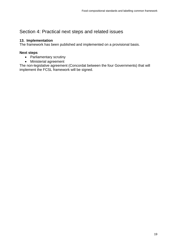# <span id="page-21-0"></span>Section 4: Practical next steps and related issues

#### **13. Implementation**

The framework has been published and implemented on a provisional basis.

#### **Next steps**

- Parliamentary scrutiny
- Ministerial agreement

The non-legislative agreement (Concordat between the four Governments) that will implement the FCSL framework will be signed.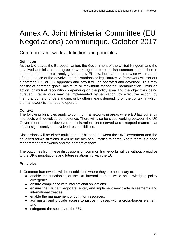# <span id="page-22-0"></span>Annex A: Joint Ministerial Committee (EU Negotiations) communique, October 2017

<span id="page-22-1"></span>Common frameworks: definition and principles

#### **Definition**

As the UK leaves the European Union, the Government of the United Kingdom and the devolved administrations agree to work together to establish common approaches in some areas that are currently governed by EU law, but that are otherwise within areas of competence of the devolved administrations or legislatures. A framework will set out a common UK, or GB, approach and how it will be operated and governed. This may consist of common goals, minimum or maximum standards, harmonisation, limits on action, or mutual recognition, depending on the policy area and the objectives being pursued. Frameworks may be implemented by legislation, by executive action, by memorandums of understanding, or by other means depending on the context in which the framework is intended to operate.

#### **Context**

The following principles apply to common frameworks in areas where EU law currently intersects with devolved competence. There will also be close working between the UK Government and the devolved administrations on reserved and excepted matters that impact significantly on devolved responsibilities.

Discussions will be either multilateral or bilateral between the UK Government and the devolved administrations. It will be the aim of all Parties to agree where there is a need for common frameworks and the content of them.

The outcomes from these discussions on common frameworks will be without prejudice to the UK's negotiations and future relationship with the EU.

### **Principles**

1. Common frameworks will be established where they are necessary to:

- enable the functioning of the UK internal market, while acknowledging policy divergence.
- ensure compliance with international obligations.
- ensure the UK can negotiate, enter, and implement new trade agreements and international treaties.
- enable the management of common resources.
- administer and provide access to justice in cases with a cross-border element; and
- safeguard the security of the UK.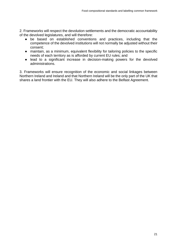2. Frameworks will respect the devolution settlements and the democratic accountability of the devolved legislatures, and will therefore:

- be based on established conventions and practices, including that the competence of the devolved institutions will not normally be adjusted without their consent;
- maintain, as a minimum, equivalent flexibility for tailoring policies to the specific needs of each territory as is afforded by current EU rules; and
- lead to a significant increase in decision-making powers for the devolved administrations.

3. Frameworks will ensure recognition of the economic and social linkages between Northern Ireland and Ireland and that Northern Ireland will be the only part of the UK that shares a land frontier with the EU. They will also adhere to the Belfast Agreement.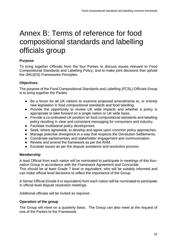# <span id="page-24-0"></span>Annex B: Terms of reference for food compositional standards and labelling officials group

#### **Purpose**

To bring together Officials from the four Parties to discuss issues relevant to Food Compositional Standards and Labelling Policy; and to make joint decisions that uphold the JMC(EN) Frameworks Principles.

#### **Objectives**

The purpose of the Food Compositional Standards and Labelling (FCSL) Officials Group is to bring together the Parties

- Be a forum for all UK nations to examine proposed amendments to, or entirely new legislation in food compositional standards and food labelling.
- Provide the opportunity to review UK wide impacts and whether a policy is appropriate to take forward on a single nation or UK wide basis.
- Provide a co-ordinated UK position on food compositional standards and labelling policy resulting in clear and consistent messaging for consumers and industry.
- Facilitate multilateral policy development.
- Seek, where agreeable, to develop and agree upon common policy approaches.
- Manage potential divergence in a way that respects the Devolution Settlements.
- Coordinate parliamentary and stakeholder engagement and communication.
- Review and amend the framework as per the RAM.
- Escalate issues as per the dispute avoidance and resolution process.

#### **Membership**

A lead Official from each nation will be nominated to participate in meetings of this fournation Group in accordance with the Framework Agreement and Concordat.

This should be at least Grade 7 level or equivalent, who will be suitably informed and can make official level decisions to reflect the importance of the Group.

A Senior Official (Grade 6 or equivalent) from each nation will be nominated to participate in official level dispute resolution meetings.

Additional officials will be invited as required.

#### **Operation of the group**

The Group will meet on a quarterly basis. The Group can also meet at the request of one of the Parties to the Framework.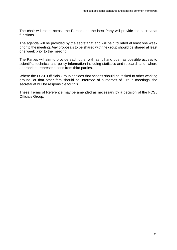The chair will rotate across the Parties and the host Party will provide the secretariat functions.

The agenda will be provided by the secretariat and will be circulated at least one week prior to the meeting. Any proposals to be shared with the group should be shared at least one week prior to the meeting.

The Parties will aim to provide each other with as full and open as possible access to scientific, technical and policy information including statistics and research and, where appropriate, representations from third parties.

Where the FCSL Officials Group decides that actions should be tasked to other working groups, or that other fora should be informed of outcomes of Group meetings, the secretariat will be responsible for this.

These Terms of Reference may be amended as necessary by a decision of the FCSL Officials Group.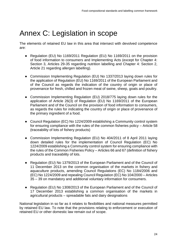# <span id="page-26-0"></span>Annex C: Legislation in scope

The elements of retained EU law in this area that intersect with devolved competence are:

- Regulation (EU) No 1169/2011 Regulation (EU) No 1169/2011 on the provision of food information to consumers and Implementing Acts (except for Chapter 4: Section 3, Articles 29-35 regarding nutrition labelling and Chapter 4: Section 2, Article 21 regarding allergen labelling).
- Commission Implementing Regulation (EU) No 1337/2013 laying down rules for the application of Regulation (EU) No 1169/2011 of the European Parliament and of the Council as regards the indication of the country of origin or place of provenance for fresh, chilled and frozen meat of swine, sheep, goats and poultry.
- Commission Implementing Regulation (EU) 2018/775 laying down rules for the application of Article 26(3) of Regulation (EU) No 1169/2011 of the European Parliament and of the Council on the provision of food information to consumers, as regards the rules for indicating the country of origin or place of provenance of the primary ingredient of a food.
- Council Regulation (EC) No 1224/2009 establishing a Community control system for ensuring compliance with the rules of the common fisheries policy – Article 58 (traceability of lots of fishery products)
- Commission Implementing Regulation (EU) No 404/2011 of 8 April 2011 laying down detailed rules for the implementation of Council Regulation (EC) No 1224/2009 establishing a Community control system for ensuring compliance with the rules of the Common Fisheries Policy – Articles 66 and 67 (definition of fishery products and traceability of lots.
- Regulation (EU) No 1379/2013 of the European Parliament and of the Council of 11 December 2013 on the common organisation of the markets in fishery and aquaculture products, amending Council Regulations (EC) No 1184/2006 and (EC) No 1224/2009 and repealing Council Regulation (EC) No 104/2000 – Articles 35 – 39 on mandatory and additional voluntary information for consumers.
- Regulation (EU) No 1308/2013 of the European Parliament and of the Council of 17 December 2013 establishing a common organisation of the markets in agricultural products – spreadable fats and dairy designations

National legislation in so far as it relates to flexibilities and national measures permitted by retained EU law. To note that the provisions relating to enforcement or execution of retained EU or other domestic law remain out of scope.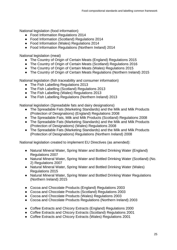National legislation (food information)

- Food Information Regulations 2014
- Food Information (Scotland) Regulations 2014
- Food Information (Wales) Regulations 2014
- Food Information Regulations (Northern Ireland) 2014

National legislation (meat)

- The Country of Origin of Certain Meats (England) Regulations 2015
- The Country of Origin of Certain Meats (Scotland) Regulations 2016
- The Country of Origin of Certain Meats (Wales) Regulations 2015
- The Country of Origin of Certain Meats Regulations (Northern Ireland) 2015

National legislation (fish traceability and consumer information)

- The Fish Labelling Regulations 2013
- The Fish Labelling (Scotland) Regulations 2013
- The Fish Labelling (Wales) Regulations 2013
- The Fish Labelling Regulations (Northern Ireland) 2013

National legislation (Spreadable fats and dairy designations)

- The Spreadable Fats (Marketing Standards) and the Milk and Milk Products (Protection of Designations) (England) Regulations 2008
- The Spreadable Fats, Milk and Milk Products (Scotland) Regulations 2008
- The Spreadable Fats (Marketing Standards) and the Milk and Milk Products (Protection of Designations) (Wales) Regulations 2008
- The Spreadable Fats (Marketing Standards) and the Milk and Milk Products (Protection of Designations) Regulations (Northern Ireland) 2008

National legislation created to implement EU Directives (as amended):

- Natural Mineral Water, Spring Water and Bottled Drinking Water (England) Regulations 2007
- Natural Mineral Water, Spring Water and Bottled Drinking Water (Scotland) (No. 2) Regulations 2007
- Natural Mineral Water, Spring Water and Bottled Drinking Water (Wales) Regulations 2015
- Natural Mineral Water, Spring Water and Bottled Drinking Water Regulations (Northern Ireland) 2015
- Cocoa and Chocolate Products (England) Regulations 2003
- Cocoa and Chocolate Products (Scotland) Regulations 2003
- Cocoa and Chocolate Products (Wales) Regulations 2003
- Cocoa and Chocolate Products Regulations (Northern Ireland) 2003
- Coffee Extracts and Chicory Extracts (England) Regulations 2000
- Coffee Extracts and Chicory Extracts (Scotland) Regulations 2001
- Coffee Extracts and Chicory Extracts (Wales) Regulations 2001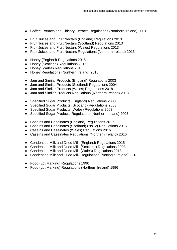- Coffee Extracts and Chicory Extracts Regulations (Northern Ireland) 2001
- Fruit Juices and Fruit Nectars (England) Regulations 2013
- Fruit Juices and Fruit Nectars (Scotland) Regulations 2013
- Fruit Juices and Fruit Nectars (Wales) Regulations 2013
- Fruit Juices and Fruit Nectars Regulations (Northern Ireland) 2013
- Honey (England) Regulations 2015
- Honey (Scotland) Regulations 2015
- Honey (Wales) Regulations 2015
- Honey Regulations (Northern Ireland) 2015
- Jam and Similar Products (England) Regulations 2003
- Jam and Similar Products (Scotland) Regulations 2004
- Jam and Similar Products (Wales) Regulations 2018
- Jam and Similar Products Regulations (Northern Ireland) 2018
- Specified Sugar Products (England) Regulations 2003
- Specified Sugar Products (Scotland) Regulations 2003
- Specified Sugar Products (Wales) Regulations 2003
- Specified Sugar Products Regulations (Northern Ireland) 2003
- Caseins and Caseinates (England) Regulations 2017
- Caseins and Caseinates (Scotland) (No. 2) Regulations 2016
- Caseins and Caseinates (Wales) Regulations 2016
- Caseins and Caseinates Regulations (Northern Ireland) 2016
- Condensed Milk and Dried Milk (England) Regulations 2015
- Condensed Milk and Dried Milk (Scotland) Regulations 2003
- Condensed Milk and Dried Milk (Wales) Regulations 2018
- Condensed Milk and Dried Milk Regulations (Northern Ireland) 2018
- Food (Lot Marking) Regulations 1996
- Food (Lot Marking) Regulations (Northern Ireland) 1996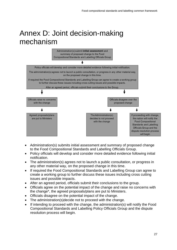# <span id="page-29-0"></span>Annex D: Joint decision-making mechanism



- Administration(s) submits initial assessment and summary of proposed change to the Food Compositional Standards and Labelling Officials Group.
- Policy officials will develop and consider more detailed evidence following initial notification.
- The administration(s) agrees not to launch a public consultation, or progress in any other material way, on the proposed change in this time.
- If required the Food Compositional Standards and Labelling Group can agree to create a working group to further discuss these issues including cross cutting issues and possible impacts.
- After an agreed period, officials submit their conclusions to the group.
- Officials agree on the potential impact of the change and raise no concerns with the change\*, the agreed proposals/plans are put to Ministers.
- Officials disagree on the potential impact of the change.
- The administration(s)decide not to proceed with the change.
- If intending to proceed with the change, the administration(s) will notify the Food Compositional Standards and Labelling Policy Officials Group and the dispute resolution process will begin.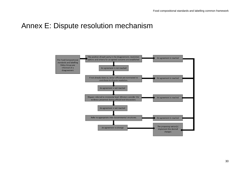# Annex E: Dispute resolution mechanism

<span id="page-30-0"></span>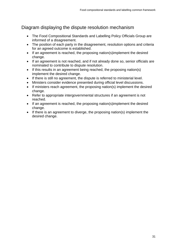### <span id="page-31-0"></span>Diagram displaying the dispute resolution mechanism

- The Food Compositional Standards and Labelling Policy Officials Group are informed of a disagreement.
- The position of each party in the disagreement, resolution options and criteria for an agreed outcome is established.
- If an agreement is reached, the proposing nation(s)implement the desired change.
- If an agreement is not reached, and if not already done so, senior officials are nominated to contribute to dispute resolution.
- If this results in an agreement being reached, the proposing nation(s) implement the desired change.
- If there is still no agreement, the dispute is referred to ministerial level.
- Ministers consider evidence presented during official level discussions.
- If ministers reach agreement, the proposing nation(s) implement the desired change.
- Refer to appropriate intergovernmental structures if an agreement is not reached.
- If an agreement is reached, the proposing nation(s)implement the desired change.
- If there is an agreement to diverge, the proposing nation(s) implement the desired change.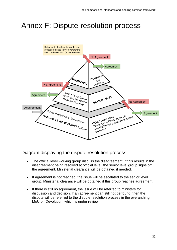# <span id="page-32-0"></span>Annex F: Dispute resolution process



### <span id="page-32-1"></span>Diagram displaying the dispute resolution process

- The official level working group discuss the disagreement. If this results in the disagreement being resolved at official level, the senior level group signs off the agreement. Ministerial clearance will be obtained if needed.
- If agreement is not reached, the issue will be escalated to the senior level group. Ministerial clearance will be obtained if this group reaches agreement.
- If there is still no agreement, the issue will be referred to ministers for discussion and decision. If an agreement can still not be found, then the dispute will be referred to the dispute resolution process in the overarching MoU on Devolution, which is under review.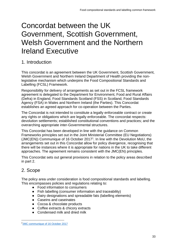# <span id="page-33-0"></span>Concordat between the UK Government, Scottish Government, Welsh Government and the Northern Ireland Executive

## <span id="page-33-1"></span>1. Introduction

This concordat is an agreement between the UK Government, Scottish Government, Welsh Government and Northern Ireland Department of Health providing the nonlegislative mechanism which underpins the Food Compositional Standards and Labelling (FCSL) Framework.

Responsibility for delivery of arrangements as set out in the FCSL framework agreement is delegated to the Department for Environment, Food and Rural Affairs (Defra) in England, Food Standards Scotland (FSS) in Scotland, Food Standards Agency (FSA) in Wales and Northern Ireland (the Parties). This Concordat establishes an agreed approach for co-operation between the Parties.

The Concordat is not intended to constitute a legally enforceable contract or create any rights or obligations which are legally enforceable. The concordat respects: devolution settlements; established constitutional conventions and practices; and the overarching appropriate inter-Governmental structures.

This Concordat has been developed in line with the guidance on Common Frameworks principles set out in the Joint Ministerial Committee (EU Negotiations) (JMC(EN)) Communique of 16 October 2017<sup>1</sup> . In line with the Devolution MoU, the arrangements set out in this Concordat allow for policy divergence, recognising that there will be instances where it is appropriate for nations in the UK to take different approaches. The agreement remains consistent with the JMC(EN) principles.

This Concordat sets out general provisions in relation to the policy areas described in part 2.

# <span id="page-33-2"></span>2. Scope

The policy area under consideration is food compositional standards and labelling. This encompasses policies and regulations relating to:

- Food information to consumers
- Fish labelling (consumer information and traceability)
- Dairy designations and spreadable fats (labelling elements)
- Caseins and caseinates
- Cocoa & chocolate products
- Coffee extracts & chicory extracts
- Condensed milk and dried milk

<sup>&</sup>lt;sup>1</sup>[JMC communique of 16 October 2017](https://assets.publishing.service.gov.uk/government/uploads/system/uploads/attachment_data/file/652285/Joint_Ministerial_Committee_communique.pdf)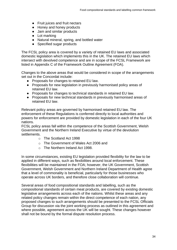- Fruit juices and fruit nectars
- Honey and honey products
- Jam and similar products
- Lot marking
- Natural mineral, spring, and bottled water
- Specified sugar products

The FCSL policy area is covered by a variety of retained EU laws and associated domestic legislation which implements this in the UK. The retained EU laws which intersect with devolved competence and are in scope of the FCSL Framework are listed in Appendix C of the Framework Outline Agreement (FOA).

Changes to the above areas that would be considered in scope of the arrangements set out in the Concordat include:

- Proposals for changes to retained EU law.
- Proposals for new legislation in previously harmonised policy areas of retained EU law.
- Proposals for changes to technical standards in retained EU law.
- Proposals for new technical standards in previously harmonised areas of retained EU law.

Relevant policy areas are governed by harmonised retained EU law. The enforcement of these Regulations is conferred directly to local authorities and powers for enforcement are provided by domestic legislation in each of the four UK nations.

FCSL policy areas fall within the competence of the Scottish Government, Welsh Government and the Northern Ireland Executive by virtue of the devolution settlements.

- o The Scotland Act 1998
- o The Government of Wales Act 2006 and
- o The Northern Ireland Act 1998.

In some circumstances, existing EU legislation provided flexibility for the law to be applied in different ways, such as flexibilities around local enforcement. These flexibilities will be maintained in the FOA; however, the UK Government, Scottish Government, Welsh Government and Northern Ireland Department of Health agree that a level of commonality is beneficial, particularly for those businesses who operate across UK borders, and therefore close collaboration will continue.

Several areas of food compositional standards and labelling, such as the compositional standards of certain meat products, are covered by existing domestic legislative arrangements across each of the nations. Whilst these areas and any related policy changes remain within the direct competence of each nation, any proposed changes to such arrangements should be presented to the FCSL Officials Group for discussion via the joint working process as outlined in this agreement and where possible, agreement across the UK will be sought. These changes however shall not be bound by the formal dispute resolution process.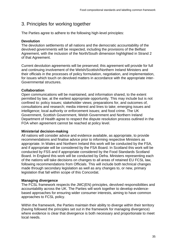## <span id="page-35-0"></span>3. Principles for working together

The Parties agree to adhere to the following high-level principles:

#### **Devolution**

The devolution settlements of all nations and the democratic accountability of the devolved governments will be respected, including the provisions of the Belfast Agreement, with the inclusion of the North/South dimension highlighted in Strand 2 of that Agreement.

Current devolution agreements will be preserved; this agreement will provide for full and continuing involvement of the Welsh/Scottish/Northern Ireland Ministers and their officials in the processes of policy formulation, negotiation, and implementation, for issues which touch on devolved matters in accordance with the appropriate inter-Governmental structures.

#### **Collaboration**

Open communications will be maintained, and information shared, to the extent permitted by law, at the earliest appropriate opportunity. This may include but is not confined to: policy issues; stakeholder views; preparations for, and outcomes of, consultations and research; media interest and lines to take; emerging issues and intelligence; local authority or enforcement issues; and food crime. The UK Government, Scottish Government, Welsh Government and Northern Ireland Department of Health agree to respect the dispute resolution process outlined in the FOA when agreement cannot be reached at policy level.

#### **Ministerial decision-making**

All nations will consider advice and evidence available, as appropriate, to provide recommendations and finalise advice prior to informing respective Ministers as appropriate. In Wales and Northern Ireland this work will be conducted by the FSA, and if appropriate will be considered by the FSA Board. In Scotland this work will be conducted by FSS and if appropriate considered by the Food Standards Scotland Board. In England this work will be conducted by Defra. Ministers representing each of the nations will take decisions on changes to all areas of retained EU FCSL law, following recommendations from Officials. This will include both technical changes made through secondary legislation as well as any changes to, or new, primary legislation that fall within scope of this Concordat.

#### **Managing divergence**

The FCSL framework respects the JMC(EN) principles, devolved responsibilities and accountability across the UK. The Parties will work together to develop evidencebased approaches for ensuring wider consumer interests, aiming to have common approaches to FCSL policy.

Within the framework, the Parties maintain their ability to diverge within their territory (having followed the principles set out in the framework for managing divergence) where evidence is clear that divergence is both necessary and proportionate to meet local needs.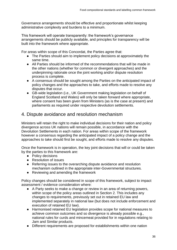Governance arrangements should be effective and proportionate whilst keeping administrative complexity and burdens to a minimum.

This framework will operate transparently: the framework's governance arrangements should be publicly available, and principles for transparency will be built into the framework where appropriate.

For areas within scope of this Concordat, the Parties agree that:

- The Parties should aim to implement policy decisions at approximately the same time.
- All Parties should be informed of the recommendations that will be made in the other nations (whether for common or divergent approaches) and the underpinning rationale once the joint working and/or dispute resolution process is complete.
- A consensus should be sought among the Parties on the anticipated impact of policy changes and the approaches to take, and efforts made to resolve any disputes that occur.
- GB-wide legislation (i.e., UK Government making legislation on behalf of England Scotland and Wales) will only be taken forward where appropriate, where consent has been given from Ministers (as is the case at present) and parliaments as required under respective devolution settlements.

### <span id="page-36-0"></span>4. Dispute avoidance and resolution mechanism

Ministers will retain the right to make individual decisions for their nation and policy divergence across UK nations will remain possible, in accordance with the Devolution Settlements in each nation. For areas within scope of the framework however a consensus regarding the anticipated impact of a policy change and the approaches to take should first be sought, and efforts made to resolve any disputes.

Once the framework is in operation, the key joint decisions that will or could be taken by the parties to this framework are:

- Policy decisions
- Resolution of issues
- Referring issues to the overarching dispute avoidance and resolution mechanism outlined in the appropriate inter-Governmental structures.
- Reviewing and amending the framework

Policy changes should be considered in scope of this framework, subject to impact assessment / evidence consideration where:

- A Party seeks to make a change or review in an area of returning powers, within scope of the policy areas outlined in Section 2. This includes any changes to requirements, previously set out in retained EU law and implemented separately in national law (but does not include enforcement and execution of retained EU law).
- Harmonised retained EU legislation provides scope for national measures to achieve common outcomes and so divergence is already possible e.g., national rules for curds and mincemeat provided for in regulations relating to Jam and Similar products.
- Different requirements are proposed for establishments within one nation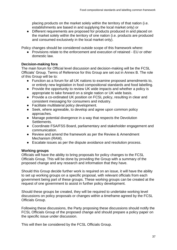placing products on the market solely within the territory of that nation (i.e. establishments are based in and supplying the local market only) or

● Different requirements are proposed for products produced in and placed on the market solely within the territory of one nation (i.e. products are produced and consumed exclusively in the local market only).

Policy changes should be considered outside scope of this framework where:

● Provisions relate to the enforcement and execution of retained - EU or other domestic law.

#### **Decision-making fora**

The main forum for Official level discussion and decision-making will be the FCSL Officials' Group. Terms of Reference for this Group are set out in Annex B. The role of this Group will be to:

- Function as a forum for all UK nations to examine proposed amendments to, or entirely new legislation in food compositional standards and food labelling.
- Provide the opportunity to review UK wide impacts and whether a policy is appropriate to take forward on a single nation or UK wide basis.
- Provide a co-ordinated UK position on FCSL policy, resulting in clear and consistent messaging for consumers and industry.
- Facilitate multilateral policy development.
- Seek, where agreeable, to develop and agree upon common policy approaches.
- Manage potential divergence in a way that respects the Devolution Settlements.
- Coordinate FSA/FSS Board, parliamentary and stakeholder engagement and communication.
- Review and amend the framework as per the Review & Amendment Mechanism (RAM).
- Escalate issues as per the dispute avoidance and resolution process.

#### **Working groups**

Officials will have the ability to bring proposals for policy changes to the FCSL Officials Group. This will be done by providing the Group with a summary of the proposed change and any research and information that they have.

Should this Group decide further work is required on an issue, it will have the ability to set up working groups on a specific proposal, with relevant officials from each government being part of these groups. These working groups can be created at the request of one government to assist in further policy development.

Should these groups be created, they will be required to undertake working level discussions on policy proposals or changes within a timeframe agreed by the FCSL Officials Group.

Following these discussions, the Party proposing these discussions should notify the FCSL Officials Group of the proposed change and should prepare a policy paper on the specific issue under discussion.

This will then be considered by the FCSL Officials Group.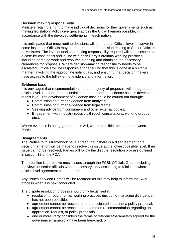#### **Decision making responsibility**

Ministers retain the right to make individual decisions for their governments such as making legislation. Policy divergence across the UK will remain possible, in accordance with the devolved settlements in each nation.

It is anticipated that most routine decisions will be made at Official level, however in some instances Officials may be required to defer decision making to Senior Officials or Ministers. The level of decision-making responsibility required will be assessed on a case-by-case basis and in line with each Party's ordinary working practices including agreeing work and resource planning and obtaining the necessary clearances for proposals. Where decision-making responsibility needs to be escalated, Officials will be responsible for ensuring that this is done in a suitable manner, involving the appropriate individuals, and ensuring that decision makers have access to the full extent of evidence and information.

#### **Evidence base**

It is envisaged that recommendations for the majority of proposals will be agreed at official level. It is therefore essential that an appropriate evidence base is developed at this level. The development of evidence base could be carried out through:

- Commissioning further evidence from analysts;
- Commissioning further evidence from legal teams;
- Seeking advice from consumers and other external bodies;
- Engagement with industry (possibly through consultations, working groups etc.).

Where evidence is being gathered this will, where possible, be shared between Parties.

#### **Disagreements**

The Parties to this framework have agreed that if there is a disagreement on a decision, an effort will be made to resolve this issue at the lowest possible level. If an issue cannot be resolved, Parties will follow the dispute resolution process outlined in section 12 of the FOA.

The intention is to resolve most issues through the FCSL Officials Group including the views of senior officials where necessary, only escalating to Ministers where official level agreement cannot be reached.

Any issues between Parties will be recorded as this may help to inform the RAM process when it is next conducted.

The dispute resolution process should only be utilised if:

- resolution through normal working practices (including managing divergence) has not been possible;
- agreement cannot be reached on the anticipated impact of a policy proposal;
- agreement cannot be reached on a common recommendation regarding an application, request, or policy proposals;
- one or more Party considers the terms of reference/parameters agreed for the governance framework have been breached; or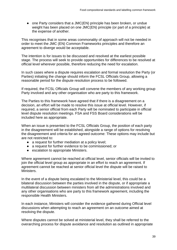● one Party considers that a JMC(EN) principle has been broken, or undue weight has been placed on one JMC(EN) principle (or part of a principle) at the expense of another.

This recognises that in some areas commonality of approach will not be needed in order to meet the JMC (EN) Common Frameworks principles and therefore an agreement to diverge would be acceptable.

The intention is for issues to be discussed and resolved at the earliest possible stage. The process will seek to provide opportunities for differences to be resolved at official level wherever possible, therefore reducing the need for escalation.

In such cases where a dispute requires escalation and formal resolution the Party (or Parties) initiating the change should inform the FCSL Officials Group, allowing a reasonable period for the dispute resolution process to be followed.

If required, the FCSL Officials Group will convene the members of any working group Party involved and any other organisation who are party to this framework.

The Parties to this framework have agreed that if there is a disagreement on a decision, an effort will be made to resolve this issue at official level. However, if required, a senior official from each Party will be nominated to participate in official level dispute resolution meetings. FSA and FSS Board considerations will be included here as appropriate.

When an issue is presented to the FCSL Officials Group, the position of each party in the disagreement will be established, alongside a range of options for resolving the disagreement and criteria for an agreed outcome: These options may include but are not restricted to:

- a request for further mediation at a policy level;
- a request for further evidence to be commissioned; or
- escalation to appropriate Ministers.

Where agreement cannot be reached at official level, senior officials will be invited to join the official level group as appropriate in an effort to reach an agreement. If agreement cannot be reached at senior official level the dispute will be raised to Ministers.

In the event of a dispute being escalated to the Ministerial level, this could be a bilateral discussion between the parties involved in the dispute, or if appropriate a multilateral discussion between ministers from all the administrations involved and any other organisations who are party to this framework agreement, including the responsible Health Ministers.

In each instance, Ministers will consider the evidence gathered during Official level discussions when attempting to reach an agreement on an outcome aimed at resolving the dispute.

Where disputes cannot be solved at ministerial level, they shall be referred to the overarching process for dispute avoidance and resolution as outlined in appropriate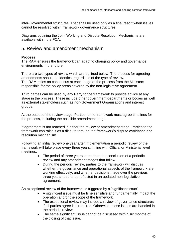inter-Governmental structures. That shall be used only as a final resort when issues cannot be resolved within framework governance structures.

Diagrams outlining the Joint Working and Dispute Resolution Mechanisms are available within the FOA.

### <span id="page-40-0"></span>5. Review and amendment mechanism

#### **Process**

The RAM ensures the framework can adapt to changing policy and governance environments in the future.

There are two types of review which are outlined below. The process for agreeing amendments should be identical regardless of the type of review. The RAM relies on consensus at each stage of the process from the Ministers responsible for the policy areas covered by the non-legislative agreement.

Third parties can be used by any Party to the framework to provide advice at any stage in the process. These include other government departments or bodies as well as external stakeholders such as non-Government Organisations and interest groups.

At the outset of the review stage, Parties to the framework must agree timelines for the process, including the possible amendment stage.

If agreement is not reached in either the review or amendment stage, Parties to the framework can raise it as a dispute through the framework's dispute avoidance and resolution mechanism.

Following an initial review one year after implementation a periodic review of the framework will take place every three years, in line with Official or Ministerial level meetings.

- The period of three years starts from the conclusion of a periodic review and any amendment stages that follow.
- During the periodic review, parties to the framework will discuss whether the governance and operational aspects of the framework are working effectively, and whether decisions made over the previous three years need to be reflected in an updated non-legislative agreement.

An exceptional review of the framework is triggered by a 'significant issue'.

- A significant issue must be time sensitive and fundamentally impact the operation and/or the scope of the framework.
- The exceptional review may include a review of governance structures if all parties agree it is required. Otherwise, these issues are handled in the periodic review.
- The same significant issue cannot be discussed within six months of the closing of that issue.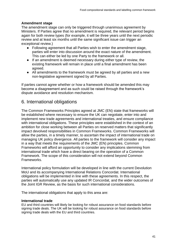#### **Amendment stage**

The amendment stage can only be triggered through unanimous agreement by Ministers. If Parties agree that no amendment is required, the relevant period begins again for both review types (for example, it will be three years until the next periodic review and at least six months until the same significant issue can trigger an exceptional review.)

- Following agreement that all Parties wish to enter the amendment stage, parties will enter into discussion around the exact nature of the amendment. This can either be led by one Party to the framework or all.
- If an amendment is deemed necessary during either type of review, the existing framework will remain in place until a final amendment has been agreed.
- All amendments to the framework must be agreed by all parties and a new non-legislative agreement signed by all Parties.

If parties cannot agree whether or how a framework should be amended this may become a disagreement and as such could be raised through the framework's dispute avoidance and resolution mechanism.

### <span id="page-41-0"></span>6. International obligations

The Common Frameworks Principles agreed at JMC (EN) state that frameworks will be established where necessary to ensure the UK can negotiate, enter into and implement new trade agreements and international treaties, and ensure compliance with international obligations. These principles were established in the context of an ambition for close working between all Parties on reserved matters that significantly impact devolved responsibilities in Common Frameworks. Common Frameworks will allow the parties, in a timely manner, to ascertain the impact of international trade on managing UK policy divergence. All parties to the framework will consider any impact in a way that meets the requirements of the JMC (EN) principles. Common Frameworks will afford an opportunity to consider any implications stemming from international trade which have a direct bearing on the operation of a Common Framework. The scope of this consideration will not extend beyond Common Frameworks.

International policy formulation will be developed in line with the current Devolution MoU and its accompanying International Relations Concordat. International obligations will be implemented in line with these agreements. In this respect, the parties will automatically use any updated IR Concordat, and the wider outcomes of the Joint IGR Review, as the basis for such international considerations.

The international obligations that apply to this area are:

#### **International trade**

EU and third countries will likely be looking for robust assurance on food standards before signing trade deals. The UK will be looking for robust assurance on food standards before signing trade deals with the EU and third countries.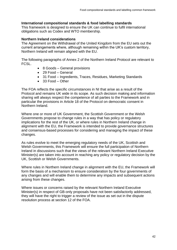#### **International compositional standards & food labelling standards**

This framework is designed to ensure the UK can continue to fulfil international obligations such as Codex and WTO membership.

#### **Northern Ireland considerations**

The Agreement on the Withdrawal of the United Kingdom from the EU sets out the current arrangements where, although remaining within the UK's custom territory, Northern Ireland will remain aligned with the EU.

The following paragraphs of Annex 2 of the Northern Ireland Protocol are relevant to FCSL.

- 8 Goods General provisions
- 29 Food General
- 31 Food Ingredients, Traces, Residues, Marketing Standards
- 33 Food Other

The FOA reflects the specific circumstances in NI that arise as a result of the Protocol and remains UK wide in its scope. As such decision making and information sharing will always respect the competence of all parties to the Framework and in particular the provisions in Article 18 of the Protocol on democratic consent in Northern Ireland.

Where one or more of UK Government, the Scottish Government or the Welsh Governments propose to change rules in a way that has policy or regulatory implications for the rest of the UK, or where rules in Northern Ireland change in alignment with the EU, the Framework is intended to provide governance structures and consensus-based processes for considering and managing the impact of these changes.

As rules evolve to meet the emerging regulatory needs of the UK, Scottish and Welsh Governments, this Framework will ensure the full participation of Northern Ireland in discussions such that the views of the relevant Northern Ireland Executive Minister(s) are taken into account in reaching any policy or regulatory decision by the UK, Scottish or Welsh Governments.

Where rules in Northern Ireland change in alignment with the EU, the Framework will form the basis of a mechanism to ensure consideration by the four governments of any changes and will enable them to determine any impacts and subsequent actions arising from these changes.

Where issues or concerns raised by the relevant Northern Ireland Executive Minister(s) in respect of GB-only proposals have not been satisfactorily addressed, they will have the right to trigger a review of the issue as set out in the dispute resolution process at section 12 of the FOA.